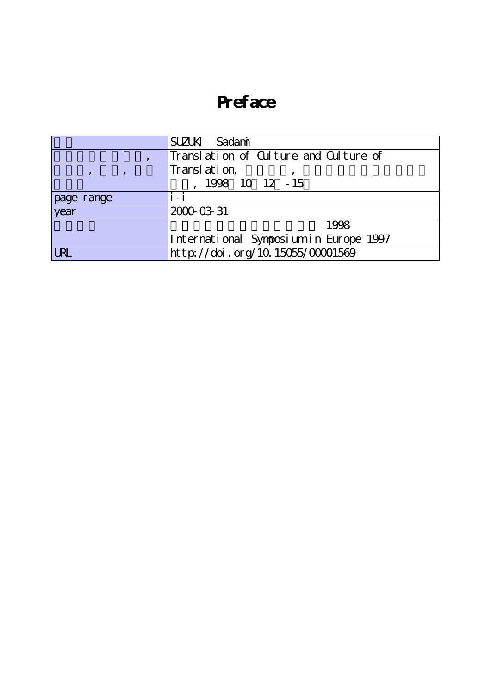## **Preface**

|            | SUZUKI Sadami                          |
|------------|----------------------------------------|
|            | Translation of Culture and Culture of  |
|            | Translation,                           |
|            | 1998 10 12 - 15                        |
| page range | i - i                                  |
| year       | 2000-03-31                             |
|            | 1998                                   |
|            | International Symposium in Europe 1997 |
|            | http://doi.org/10.15055/00001569       |